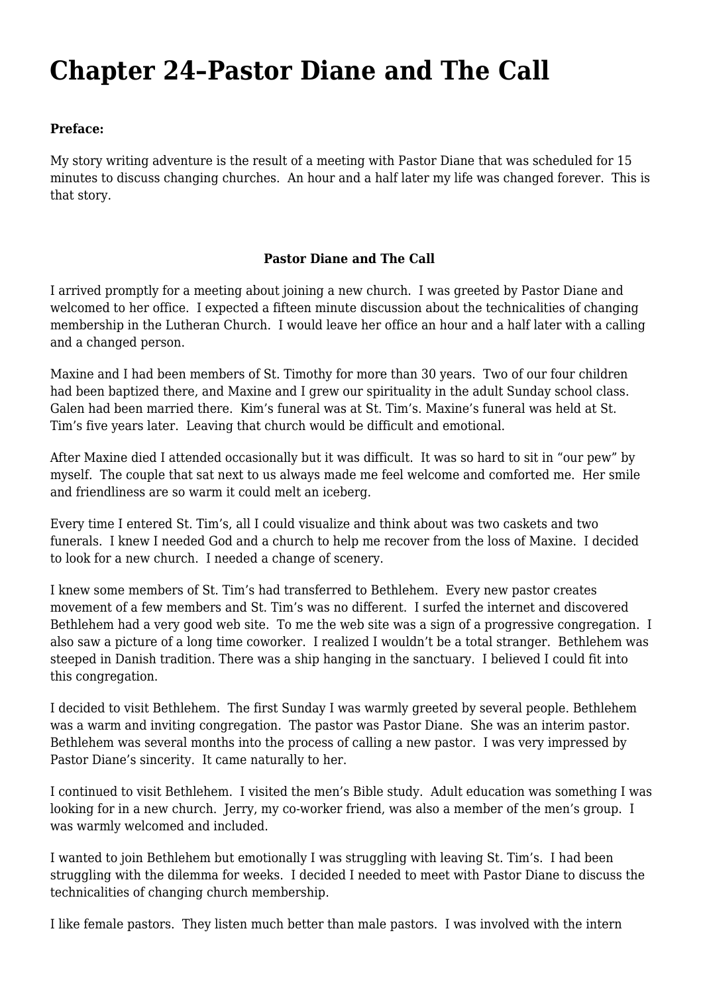## **[Chapter 24–Pastor Diane and The Call](https://www.garystrattonfirefighter.com/2015/08/31/chapter-24-pastor-diane-and-the-call/)**

## **Preface:**

My story writing adventure is the result of a meeting with Pastor Diane that was scheduled for 15 minutes to discuss changing churches. An hour and a half later my life was changed forever. This is that story.

## **Pastor Diane and The Call**

I arrived promptly for a meeting about joining a new church. I was greeted by Pastor Diane and welcomed to her office. I expected a fifteen minute discussion about the technicalities of changing membership in the Lutheran Church. I would leave her office an hour and a half later with a calling and a changed person.

Maxine and I had been members of St. Timothy for more than 30 years. Two of our four children had been baptized there, and Maxine and I grew our spirituality in the adult Sunday school class. Galen had been married there. Kim's funeral was at St. Tim's. Maxine's funeral was held at St. Tim's five years later. Leaving that church would be difficult and emotional.

After Maxine died I attended occasionally but it was difficult. It was so hard to sit in "our pew" by myself. The couple that sat next to us always made me feel welcome and comforted me. Her smile and friendliness are so warm it could melt an iceberg.

Every time I entered St. Tim's, all I could visualize and think about was two caskets and two funerals. I knew I needed God and a church to help me recover from the loss of Maxine. I decided to look for a new church. I needed a change of scenery.

I knew some members of St. Tim's had transferred to Bethlehem. Every new pastor creates movement of a few members and St. Tim's was no different. I surfed the internet and discovered Bethlehem had a very good web site. To me the web site was a sign of a progressive congregation. I also saw a picture of a long time coworker. I realized I wouldn't be a total stranger. Bethlehem was steeped in Danish tradition. There was a ship hanging in the sanctuary. I believed I could fit into this congregation.

I decided to visit Bethlehem. The first Sunday I was warmly greeted by several people. Bethlehem was a warm and inviting congregation. The pastor was Pastor Diane. She was an interim pastor. Bethlehem was several months into the process of calling a new pastor. I was very impressed by Pastor Diane's sincerity. It came naturally to her.

I continued to visit Bethlehem. I visited the men's Bible study. Adult education was something I was looking for in a new church. Jerry, my co-worker friend, was also a member of the men's group. I was warmly welcomed and included.

I wanted to join Bethlehem but emotionally I was struggling with leaving St. Tim's. I had been struggling with the dilemma for weeks. I decided I needed to meet with Pastor Diane to discuss the technicalities of changing church membership.

I like female pastors. They listen much better than male pastors. I was involved with the intern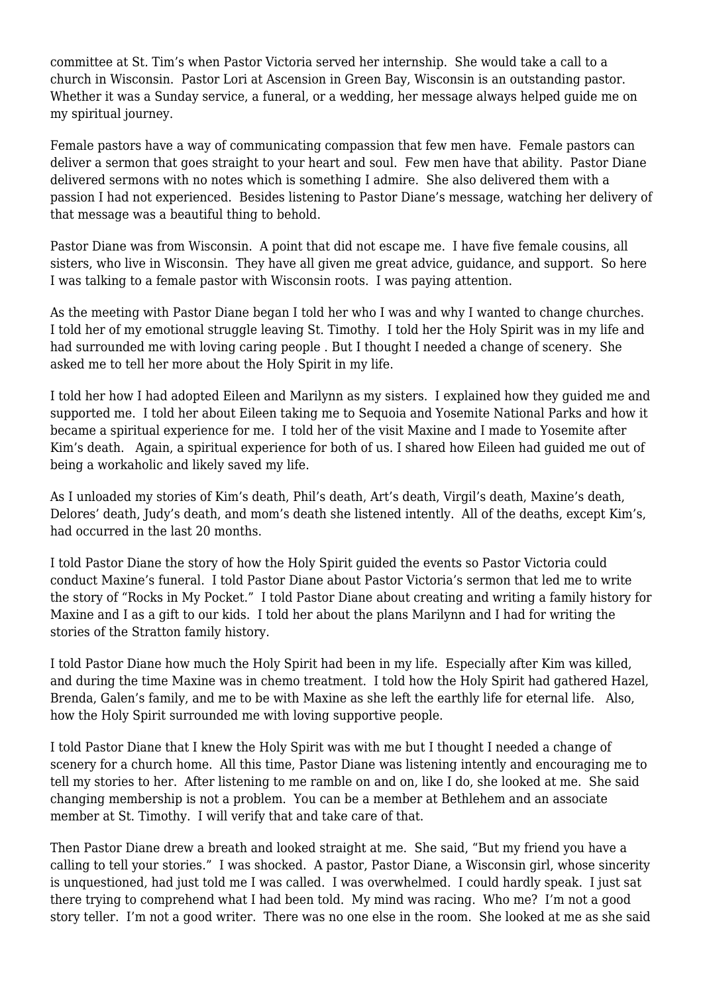committee at St. Tim's when Pastor Victoria served her internship. She would take a call to a church in Wisconsin. Pastor Lori at Ascension in Green Bay, Wisconsin is an outstanding pastor. Whether it was a Sunday service, a funeral, or a wedding, her message always helped guide me on my spiritual journey.

Female pastors have a way of communicating compassion that few men have. Female pastors can deliver a sermon that goes straight to your heart and soul. Few men have that ability. Pastor Diane delivered sermons with no notes which is something I admire. She also delivered them with a passion I had not experienced. Besides listening to Pastor Diane's message, watching her delivery of that message was a beautiful thing to behold.

Pastor Diane was from Wisconsin. A point that did not escape me. I have five female cousins, all sisters, who live in Wisconsin. They have all given me great advice, guidance, and support. So here I was talking to a female pastor with Wisconsin roots. I was paying attention.

As the meeting with Pastor Diane began I told her who I was and why I wanted to change churches. I told her of my emotional struggle leaving St. Timothy. I told her the Holy Spirit was in my life and had surrounded me with loving caring people . But I thought I needed a change of scenery. She asked me to tell her more about the Holy Spirit in my life.

I told her how I had adopted Eileen and Marilynn as my sisters. I explained how they guided me and supported me. I told her about Eileen taking me to Sequoia and Yosemite National Parks and how it became a spiritual experience for me. I told her of the visit Maxine and I made to Yosemite after Kim's death. Again, a spiritual experience for both of us. I shared how Eileen had guided me out of being a workaholic and likely saved my life.

As I unloaded my stories of Kim's death, Phil's death, Art's death, Virgil's death, Maxine's death, Delores' death, Judy's death, and mom's death she listened intently. All of the deaths, except Kim's, had occurred in the last 20 months.

I told Pastor Diane the story of how the Holy Spirit guided the events so Pastor Victoria could conduct Maxine's funeral. I told Pastor Diane about Pastor Victoria's sermon that led me to write the story of "Rocks in My Pocket." I told Pastor Diane about creating and writing a family history for Maxine and I as a gift to our kids. I told her about the plans Marilynn and I had for writing the stories of the Stratton family history.

I told Pastor Diane how much the Holy Spirit had been in my life. Especially after Kim was killed, and during the time Maxine was in chemo treatment. I told how the Holy Spirit had gathered Hazel, Brenda, Galen's family, and me to be with Maxine as she left the earthly life for eternal life. Also, how the Holy Spirit surrounded me with loving supportive people.

I told Pastor Diane that I knew the Holy Spirit was with me but I thought I needed a change of scenery for a church home. All this time, Pastor Diane was listening intently and encouraging me to tell my stories to her. After listening to me ramble on and on, like I do, she looked at me. She said changing membership is not a problem. You can be a member at Bethlehem and an associate member at St. Timothy. I will verify that and take care of that.

Then Pastor Diane drew a breath and looked straight at me. She said, "But my friend you have a calling to tell your stories." I was shocked. A pastor, Pastor Diane, a Wisconsin girl, whose sincerity is unquestioned, had just told me I was called. I was overwhelmed. I could hardly speak. I just sat there trying to comprehend what I had been told. My mind was racing. Who me? I'm not a good story teller. I'm not a good writer. There was no one else in the room. She looked at me as she said